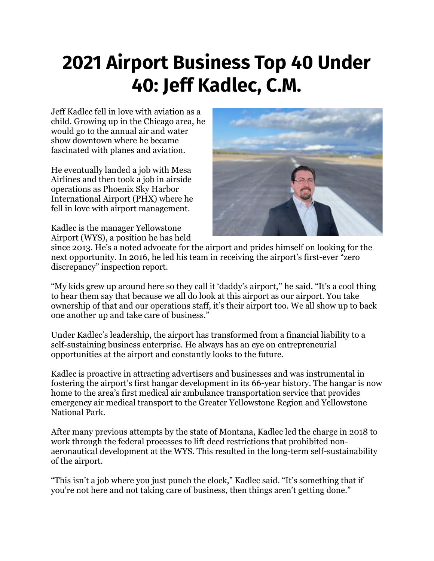## **2021 Airport Business Top 40 Under 40: Jeff Kadlec, C.M.**

Jeff Kadlec fell in love with aviation as a child. Growing up in the Chicago area, he would go to the annual air and water show downtown where he became fascinated with planes and aviation.

He eventually landed a job with Mesa Airlines and then took a job in airside operations as Phoenix Sky Harbor International Airport (PHX) where he fell in love with airport management.

Kadlec is the manager Yellowstone Airport (WYS), a position he has held



since 2013. He's a noted advocate for the airport and prides himself on looking for the next opportunity. In 2016, he led his team in receiving the airport's first-ever "zero discrepancy" inspection report.

"My kids grew up around here so they call it 'daddy's airport,'' he said. "It's a cool thing to hear them say that because we all do look at this airport as our airport. You take ownership of that and our operations staff, it's their airport too. We all show up to back one another up and take care of business."

Under Kadlec's leadership, the airport has transformed from a financial liability to a self-sustaining business enterprise. He always has an eye on entrepreneurial opportunities at the airport and constantly looks to the future.

Kadlec is proactive in attracting advertisers and businesses and was instrumental in fostering the airport's first hangar development in its 66-year history. The hangar is now home to the area's first medical air ambulance transportation service that provides emergency air medical transport to the Greater Yellowstone Region and Yellowstone National Park.

After many previous attempts by the state of Montana, Kadlec led the charge in 2018 to work through the federal processes to lift deed restrictions that prohibited nonaeronautical development at the WYS. This resulted in the long-term self-sustainability of the airport.

"This isn't a job where you just punch the clock," Kadlec said. "It's something that if you're not here and not taking care of business, then things aren't getting done."